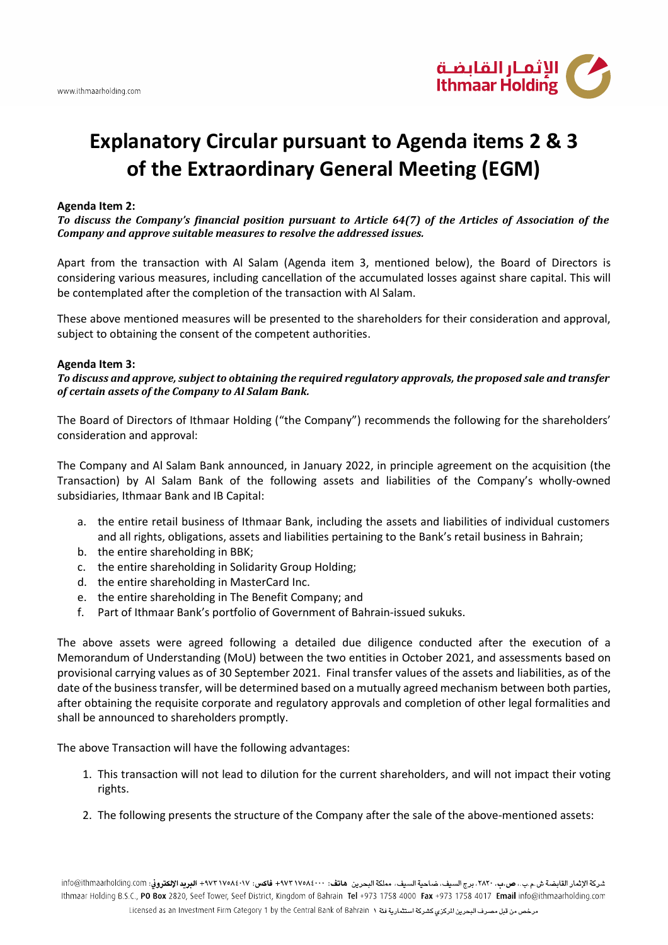

## **Explanatory Circular pursuant to Agenda items 2 & 3 of the Extraordinary General Meeting (EGM)**

## **Agenda Item 2:**

*To discuss the Company's financial position pursuant to Article 64(7) of the Articles of Association of the Company and approve suitable measures to resolve the addressed issues.* 

Apart from the transaction with Al Salam (Agenda item 3, mentioned below), the Board of Directors is considering various measures, including cancellation of the accumulated losses against share capital. This will be contemplated after the completion of the transaction with Al Salam.

These above mentioned measures will be presented to the shareholders for their consideration and approval, subject to obtaining the consent of the competent authorities.

## **Agenda Item 3:**

*To discuss and approve, subject to obtaining the required regulatory approvals, the proposed sale and transfer of certain assets of the Company to Al Salam Bank.*

The Board of Directors of Ithmaar Holding ("the Company") recommends the following for the shareholders' consideration and approval:

The Company and Al Salam Bank announced, in January 2022, in principle agreement on the acquisition (the Transaction) by Al Salam Bank of the following assets and liabilities of the Company's wholly-owned subsidiaries, Ithmaar Bank and IB Capital:

- a. the entire retail business of Ithmaar Bank, including the assets and liabilities of individual customers and all rights, obligations, assets and liabilities pertaining to the Bank's retail business in Bahrain;
- b. the entire shareholding in BBK;
- c. the entire shareholding in Solidarity Group Holding;
- d. the entire shareholding in MasterCard Inc.
- e. the entire shareholding in The Benefit Company; and
- f. Part of Ithmaar Bank's portfolio of Government of Bahrain-issued sukuks.

The above assets were agreed following a detailed due diligence conducted after the execution of a Memorandum of Understanding (MoU) between the two entities in October 2021, and assessments based on provisional carrying values as of 30 September 2021. Final transfer values of the assets and liabilities, as of the date of the business transfer, will be determined based on a mutually agreed mechanism between both parties, after obtaining the requisite corporate and regulatory approvals and completion of other legal formalities and shall be announced to shareholders promptly.

The above Transaction will have the following advantages:

- 1. This transaction will not lead to dilution for the current shareholders, and will not impact their voting rights.
- 2. The following presents the structure of the Company after the sale of the above-mentioned assets: